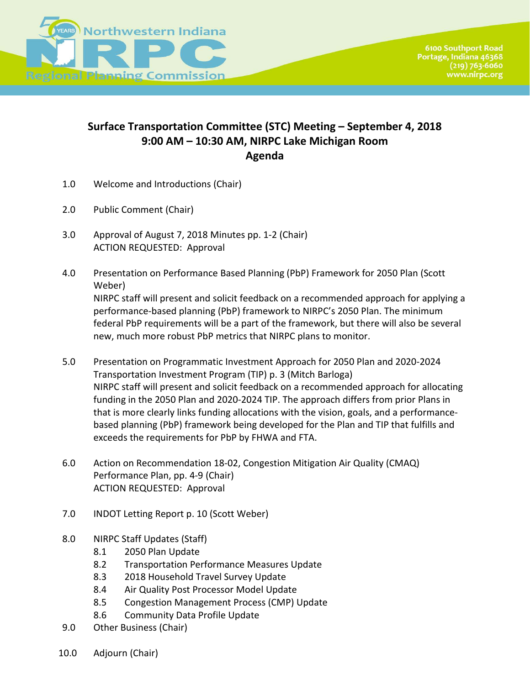

## **Surface Transportation Committee (STC) Meeting – September 4, 2018 9:00 AM – 10:30 AM, NIRPC Lake Michigan Room Agenda**

- 1.0 Welcome and Introductions (Chair)
- 2.0 Public Comment (Chair)
- 3.0 Approval of August 7, 2018 Minutes pp. 1-2 (Chair) ACTION REQUESTED: Approval
- 4.0 Presentation on Performance Based Planning (PbP) Framework for 2050 Plan (Scott Weber) NIRPC staff will present and solicit feedback on a recommended approach for applying a performance-based planning (PbP) framework to NIRPC's 2050 Plan. The minimum federal PbP requirements will be a part of the framework, but there will also be several new, much more robust PbP metrics that NIRPC plans to monitor.
- 5.0 Presentation on Programmatic Investment Approach for 2050 Plan and 2020-2024 Transportation Investment Program (TIP) p. 3 (Mitch Barloga) NIRPC staff will present and solicit feedback on a recommended approach for allocating funding in the 2050 Plan and 2020-2024 TIP. The approach differs from prior Plans in that is more clearly links funding allocations with the vision, goals, and a performancebased planning (PbP) framework being developed for the Plan and TIP that fulfills and exceeds the requirements for PbP by FHWA and FTA.
- 6.0 Action on Recommendation 18-02, Congestion Mitigation Air Quality (CMAQ) Performance Plan, pp. 4-9 (Chair) ACTION REQUESTED: Approval
- 7.0 INDOT Letting Report p. 10 (Scott Weber)
- 8.0 NIRPC Staff Updates (Staff)
	- 8.1 2050 Plan Update
	- 8.2 Transportation Performance Measures Update
	- 8.3 2018 Household Travel Survey Update
	- 8.4 Air Quality Post Processor Model Update
	- 8.5 Congestion Management Process (CMP) Update
	- 8.6 Community Data Profile Update
- 9.0 Other Business (Chair)
- 10.0 Adjourn (Chair)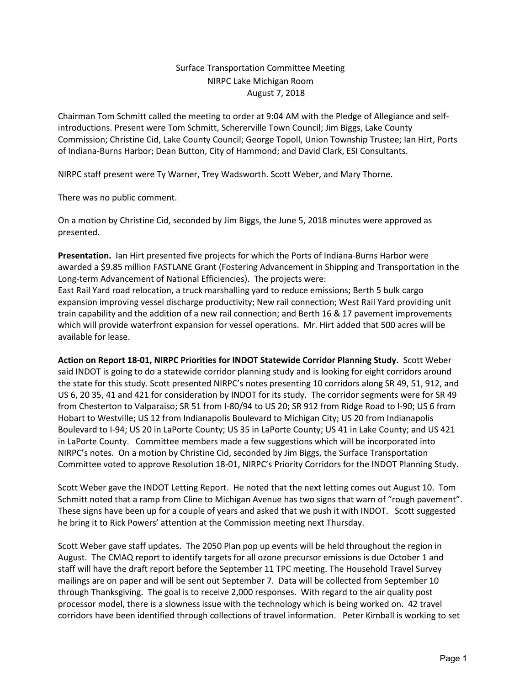## Surface Transportation Committee Meeting NIRPC Lake Michigan Room August 7, 2018

Chairman Tom Schmitt called the meeting to order at 9:04 AM with the Pledge of Allegiance and selfintroductions. Present were Tom Schmitt, Schererville Town Council; Jim Biggs, Lake County Commission; Christine Cid, Lake County Council; George Topoll, Union Township Trustee; Ian Hirt, Ports of Indiana-Burns Harbor; Dean Button, City of Hammond; and David Clark, ESI Consultants.

NIRPC staff present were Ty Warner, Trey Wadsworth. Scott Weber, and Mary Thorne.

There was no public comment.

On a motion by Christine Cid, seconded by Jim Biggs, the June 5, 2018 minutes were approved as presented.

**Presentation.** Ian Hirt presented five projects for which the Ports of Indiana-Burns Harbor were awarded a \$9.85 million FASTLANE Grant (Fostering Advancement in Shipping and Transportation in the Long-term Advancement of National Efficiencies). The projects were: East Rail Yard road relocation, a truck marshalling yard to reduce emissions; Berth 5 bulk cargo

expansion improving vessel discharge productivity; New rail connection; West Rail Yard providing unit train capability and the addition of a new rail connection; and Berth 16 & 17 pavement improvements which will provide waterfront expansion for vessel operations. Mr. Hirt added that 500 acres will be available for lease.

**Action on Report 18-01, NIRPC Priorities for INDOT Statewide Corridor Planning Study.** Scott Weber said INDOT is going to do a statewide corridor planning study and is looking for eight corridors around the state for this study. Scott presented NIRPC's notes presenting 10 corridors along SR 49, 51, 912, and US 6, 20 35, 41 and 421 for consideration by INDOT for its study. The corridor segments were for SR 49 from Chesterton to Valparaiso; SR 51 from I-80/94 to US 20; SR 912 from Ridge Road to I-90; US 6 from Hobart to Westville; US 12 from Indianapolis Boulevard to Michigan City; US 20 from Indianapolis Boulevard to I-94; US 20 in LaPorte County; US 35 in LaPorte County; US 41 in Lake County; and US 421 in LaPorte County. Committee members made a few suggestions which will be incorporated into NIRPC's notes. On a motion by Christine Cid, seconded by Jim Biggs, the Surface Transportation Committee voted to approve Resolution 18-01, NIRPC's Priority Corridors for the INDOT Planning Study.

Scott Weber gave the INDOT Letting Report. He noted that the next letting comes out August 10. Tom Schmitt noted that a ramp from Cline to Michigan Avenue has two signs that warn of "rough pavement". These signs have been up for a couple of years and asked that we push it with INDOT. Scott suggested he bring it to Rick Powers' attention at the Commission meeting next Thursday.

Scott Weber gave staff updates. The 2050 Plan pop up events will be held throughout the region in August. The CMAQ report to identify targets for all ozone precursor emissions is due October 1 and staff will have the draft report before the September 11 TPC meeting. The Household Travel Survey mailings are on paper and will be sent out September 7. Data will be collected from September 10 through Thanksgiving. The goal is to receive 2,000 responses. With regard to the air quality post processor model, there is a slowness issue with the technology which is being worked on. 42 travel corridors have been identified through collections of travel information. Peter Kimball is working to set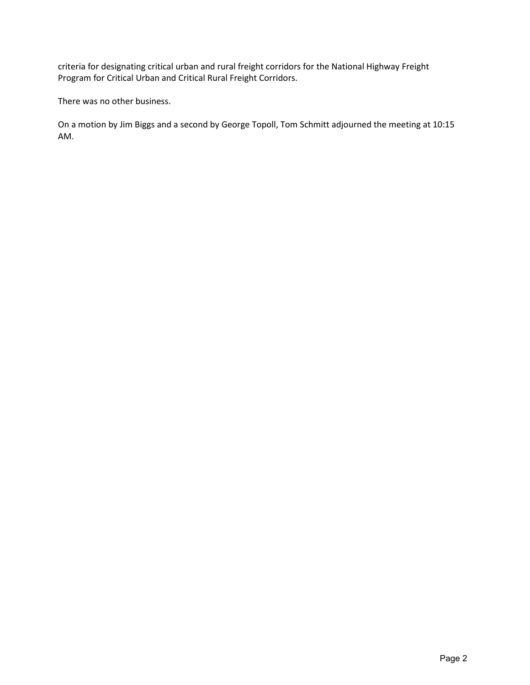criteria for designating critical urban and rural freight corridors for the National Highway Freight Program for Critical Urban and Critical Rural Freight Corridors.

There was no other business.

On a motion by Jim Biggs and a second by George Topoll, Tom Schmitt adjourned the meeting at 10:15 AM.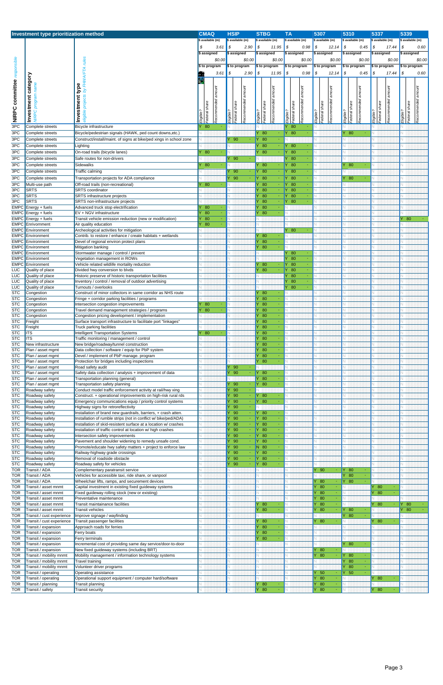| Investment type prioritization method |                                                |                                                                                                                                |                                 | <b>HSIP</b>            |        | <b>STBG</b>                            | <b>TA</b>                  |             | 5307         |                      | 5310             |             | 5337             |                    | 5339          |                    |
|---------------------------------------|------------------------------------------------|--------------------------------------------------------------------------------------------------------------------------------|---------------------------------|------------------------|--------|----------------------------------------|----------------------------|-------------|--------------|----------------------|------------------|-------------|------------------|--------------------|---------------|--------------------|
|                                       |                                                |                                                                                                                                | <b>CMAQ</b><br>\$ available (m) | \$ available (m)       |        | \$ available (m)                       | \$ available (m)           |             |              | \$ available (m)     | \$ available (m) |             | \$ available (m) |                    |               | \$ available (m)   |
|                                       |                                                |                                                                                                                                | \$<br>3.61                      | \$<br>2.90             |        | $\mathbf{s}$<br>11.95                  | l \$                       | 0.98        | \$           | 12.14                | l S              | $0.45$ \$   |                  | 17.44              | \$            | 0.60               |
|                                       |                                                |                                                                                                                                | \$ assigned                     | \$ assigned            |        | \$ assigned                            | \$ assigned                |             |              | \$ assigned          | \$ assigned      |             | \$ assigned      |                    |               | \$ assigned        |
| committee responsible                 |                                                | rules                                                                                                                          | \$0.00                          |                        | \$0.00 | \$0.00                                 |                            | \$0.00      |              | \$0.00               |                  | \$0.00      |                  | \$0.00             |               | \$0.00             |
|                                       |                                                |                                                                                                                                | \$ to program                   | \$ to program          |        | \$ to program                          | \$ to program              |             |              | \$ to program        | \$ to program    |             | \$ to program    |                    |               | \$ to program      |
|                                       |                                                |                                                                                                                                | 3.61<br>£,                      | \$<br>2.90             |        | \$<br>11.95                            | $\mathsf{I}$               | 0.98        | \$           | 12.14                | \$               | $0.45$ \$   |                  | 17.44              | \$            | 0.60               |
|                                       | category                                       | FHWA/FTA                                                                                                                       |                                 |                        |        |                                        |                            |             |              |                      |                  |             |                  |                    |               |                    |
|                                       |                                                | Investment type                                                                                                                |                                 |                        |        |                                        |                            |             |              |                      |                  |             |                  |                    |               |                    |
|                                       |                                                | ă                                                                                                                              | amount                          | amount                 |        | amount                                 |                            | amount      |              | amount               |                  | amount      |                  |                    |               |                    |
|                                       |                                                |                                                                                                                                |                                 |                        |        |                                        |                            |             |              |                      |                  |             |                  |                    |               |                    |
|                                       | NIRPC program nam<br>Investment                |                                                                                                                                | Recommended<br>Federal share    | Recommended<br>share   |        | Recommended<br>share                   | Federal share              | Recommended |              | Recommended<br>share | share            | Recommended | share            | Recommended amount | Federal share | Recommended amount |
|                                       |                                                | eligible                                                                                                                       |                                 | Federal                |        | Federal                                |                            |             | Eligible?    |                      | Federal          |             | Federal          |                    | Eligible?     |                    |
| NIRPC                                 |                                                |                                                                                                                                | Eligible?                       | Eligible?              |        | Eligible?                              | Eligible?                  |             |              | Federal :            | Eligible?        |             | Eligible?        |                    |               |                    |
| 3PC                                   | Complete streets                               | Bicycle infrastructure                                                                                                         | 80                              |                        |        |                                        | 80                         |             |              |                      |                  |             |                  |                    |               |                    |
| 3PC                                   | Complete streets                               | Bicycle/pedestrian signals (HAWK, ped count downs, etc.)                                                                       |                                 |                        |        | Y 80                                   | 80<br>Y                    |             |              |                      | Y 80             |             |                  |                    |               |                    |
| 3PC                                   | Complete streets                               | Construct/install/maint. of signs at bike/ped xings in school zone                                                             |                                 | Y 90                   |        | lY.<br>80                              |                            |             |              |                      |                  |             |                  |                    |               |                    |
| 3PC                                   | Complete streets                               | _ighting                                                                                                                       |                                 |                        |        | - 80                                   | Y 80                       |             |              |                      |                  |             |                  |                    |               |                    |
| 3PC                                   | Complete streets                               | On-road trails (bicycle lanes)                                                                                                 | 80                              |                        |        | 80                                     | Y 80                       |             |              |                      |                  |             |                  |                    |               |                    |
| 3PC                                   | Complete streets                               | Safe routes for non-drivers                                                                                                    |                                 | 90<br>Y                |        |                                        | 80                         |             |              |                      |                  |             |                  |                    |               |                    |
| 3PC                                   | Complete streets                               | Sidewalks                                                                                                                      | 80                              |                        |        | 80                                     | <b>Y</b> 80                |             |              |                      | 80               |             |                  |                    |               |                    |
| 3PC                                   | Complete streets                               | Traffic calming                                                                                                                |                                 | - 90<br>Y              |        | Y 80                                   | <b>Y</b> 80                |             |              |                      |                  |             |                  |                    |               |                    |
| 3PC                                   | Complete streets                               | Transportation projects for ADA compliance                                                                                     |                                 | Y 90                   |        | Y 80                                   | <b>Y</b> 80                |             |              |                      | 80               |             |                  |                    |               |                    |
| 3PC<br>3PC                            | Multi-use path<br><b>SRTS</b>                  | Off-road trails (non-recreational)<br><b>SRTS</b> coordinator                                                                  | 80                              |                        |        | Y 80<br>Y 80                           | <b>Y</b> 80<br><b>Y</b> 80 |             |              |                      |                  |             |                  |                    |               |                    |
| 3PC                                   | <b>SRTS</b>                                    | SRTS infrastructure projects                                                                                                   |                                 |                        |        | 80<br>Y                                | $Y$ 80                     |             |              |                      |                  |             |                  |                    |               |                    |
| 3PC                                   | <b>SRTS</b>                                    | SRTS non-infrastructure projects                                                                                               |                                 |                        |        | Y 80                                   | <b>Y</b> 80                |             |              |                      |                  |             |                  |                    |               |                    |
| <b>EMPC</b>                           | Energy + fuels                                 | Advanced truck stop electrification                                                                                            | 80                              |                        |        | Y 80                                   |                            |             |              |                      |                  |             |                  |                    |               |                    |
| <b>EMPC</b>                           | $\sqrt{\frac{1}{2}}$ Energy + fuels            | EV + NGV infrastructure                                                                                                        | 80                              |                        |        | 80<br>Y                                |                            |             |              |                      |                  |             |                  |                    |               |                    |
| <b>EMPC</b>                           | $\blacksquare$ Energy + fuels                  | Transit vehicle emission reduction (new or modification)                                                                       | 80                              |                        |        |                                        |                            |             |              |                      |                  |             |                  |                    | Y 80          |                    |
| <b>EMPC</b><br><b>EMPC</b>            | Enrivornment<br>Environment                    | Air quality education                                                                                                          | 80                              |                        |        |                                        | Y 80                       |             |              |                      |                  |             |                  |                    |               |                    |
| <b>EMPC</b>                           | Environment                                    | Archeological activities for mitigation<br>Contrib. to restore / enhance / create habitats + wetlands                          |                                 |                        |        | 80<br>Y                                |                            |             |              |                      |                  |             |                  |                    |               |                    |
| <b>EMPC</b>                           | Environment                                    | Devel of regional environ protect plans                                                                                        |                                 |                        |        | 80<br>Y                                |                            |             |              |                      |                  |             |                  |                    |               |                    |
| <b>EMPC</b>                           | Environment                                    | Mitigation banking                                                                                                             |                                 |                        |        | Y 80                                   |                            |             |              |                      |                  |             |                  |                    |               |                    |
| <b>EMPC</b>                           | Environment                                    | Stormwater manage / control / prevent                                                                                          |                                 |                        |        |                                        | 80                         |             |              |                      |                  |             |                  |                    |               |                    |
| <b>EMPC</b>                           | Environment                                    | Vegetation management in ROWs                                                                                                  |                                 |                        |        |                                        | Y 80                       |             |              |                      |                  |             |                  |                    |               |                    |
| <b>EMPC</b><br>LUC                    | Environment                                    | Vehicle related wildlife mortality reduction                                                                                   |                                 |                        |        | 80<br>Y<br>80                          | 80<br>IY.<br>Y 80          |             |              |                      |                  |             |                  |                    |               |                    |
| <b>LUC</b>                            | Quality of place<br>Quality of place           | Divided hwy conversion to blvds<br>Historic preserve of historic transportation facilities                                     |                                 |                        |        |                                        | 80<br>IY.                  |             |              |                      |                  |             |                  |                    |               |                    |
| <b>LUC</b>                            | Quality of place                               | Inventory / control / removal of outdoor advertising                                                                           |                                 |                        |        |                                        | Y 80                       |             |              |                      |                  |             |                  |                    |               |                    |
| <b>LUC</b>                            | Quality of place                               | Turnouts / overlooks                                                                                                           |                                 |                        |        |                                        | Y 80                       |             |              |                      |                  |             |                  |                    |               |                    |
| <b>STC</b>                            | Congestion                                     | Construct of minor collectors in same corridor as NHS route                                                                    |                                 |                        |        | 80                                     |                            |             |              |                      |                  |             |                  |                    |               |                    |
| <b>STC</b>                            | Congestion                                     | Fringe + corridor parking facilities / programs                                                                                |                                 |                        |        | 80<br>Υ                                |                            |             |              |                      |                  |             |                  |                    |               |                    |
| STC<br>STC                            | Congestion                                     | Intersection congestion improvements                                                                                           | 80<br>80                        |                        |        | Y 80<br>80                             |                            |             |              |                      |                  |             |                  |                    |               |                    |
| STC                                   | Congestion<br>Congestion                       | Travel demand management strategies / programs<br>Congestion pricing development / implementation                              |                                 |                        |        | Y 80                                   |                            |             |              |                      |                  |             |                  |                    |               |                    |
| <b>STC</b>                            | Freight                                        | Surface transport infrastructure to facilitate port "linkages"                                                                 |                                 |                        |        | Y 80                                   |                            |             |              |                      |                  |             |                  |                    |               |                    |
| STC                                   | Freight                                        | Truck parking facilities                                                                                                       |                                 |                        |        | - 80<br>Y                              |                            |             |              |                      |                  |             |                  |                    |               |                    |
| STC                                   | <b>ITS</b>                                     | <b>Intelligent Transportation Systems</b>                                                                                      | 80                              |                        |        | 80<br>Y                                |                            |             |              |                      |                  |             |                  |                    |               |                    |
| STC                                   | <b>ITS</b>                                     | Traffic monitoring / management / control                                                                                      |                                 |                        |        | 80<br>Y                                |                            |             |              |                      |                  |             |                  |                    |               |                    |
| STC<br><b>STC</b>                     | New infrastructure                             | New bridge/roadway/tunnel construction                                                                                         |                                 |                        |        | Y 80<br>Y 80                           |                            |             |              |                      |                  |             |                  |                    |               |                    |
| <b>STC</b>                            | Plan / asset mgmt<br>Plan / asset mgmt         | Data collection / software / equip for PbP system<br>Devel / implement of PbP manage. program                                  |                                 |                        |        | 80<br>Y                                |                            |             |              |                      |                  |             |                  |                    |               |                    |
| STC                                   | Plan / asset mgmt                              | Protection for bridges including inspections                                                                                   |                                 |                        |        | Y 80                                   |                            |             |              |                      |                  |             |                  |                    |               |                    |
| STC                                   | Plan / asset mgmt                              | Road safety audit                                                                                                              |                                 | -90<br>Y               |        |                                        |                            |             |              |                      |                  |             |                  |                    |               |                    |
| STC                                   | Plan / asset mgmt                              | Safety data collection / analysis + improvement of data                                                                        |                                 | Y 90                   |        | Y 80                                   |                            |             |              |                      |                  |             |                  |                    |               |                    |
| <b>STC</b>                            | Plan / asset mgmt                              | Transportation planning (general)                                                                                              |                                 |                        |        | Y 80                                   |                            |             |              |                      |                  |             |                  |                    |               |                    |
| STC<br>STC                            | Plan / asset mgmt<br>Roadway safety            | Transportation safety planning<br>Conduct model traffic enforcement activity at rail/hwy xing                                  |                                 | - 90<br>Y.<br>-90<br>Y |        | Y 80                                   |                            |             |              |                      |                  |             |                  |                    |               |                    |
| STC                                   | Roadway safety                                 | Construct. + operational improvements on high-risk rural rds                                                                   |                                 | -90<br>Y               |        | IY.<br>-80                             |                            |             |              |                      |                  |             |                  |                    |               |                    |
| STC                                   | Roadway safety                                 | Emergency communications equip / priority control systems                                                                      |                                 | Y 90                   |        | $\overline{Y}$ 80                      |                            |             |              |                      |                  |             |                  |                    |               |                    |
| <b>STC</b>                            | Roadway safety                                 | Highway signs for retroreflectivity                                                                                            |                                 | Y 90                   |        |                                        |                            |             |              |                      |                  |             |                  |                    |               |                    |
| STC                                   | Roadway safety                                 | Installation of brand new guardrails, barriers, + crash atten.                                                                 |                                 | -90<br>Y               |        | $Y$ 80                                 |                            |             |              |                      |                  |             |                  |                    |               |                    |
| STC<br>STC                            | Roadway safety                                 | Installation of rumble strips (not in conflict w/ bike/ped/ADA)                                                                |                                 | Y 90<br>-90<br>Y.      |        | $\overline{Y}$ 80                      |                            |             |              |                      |                  |             |                  |                    |               |                    |
| STC                                   | Roadway safety<br>Roadway safety               | Installation of skid-resistent surface at a location w/ crashes<br>Installation of traffic control at location w/ high crashes |                                 | Y 90                   |        | $-$ Y 80<br>$\mathsf{Y}$ 80            |                            |             |              |                      |                  |             |                  |                    |               |                    |
| <b>STC</b>                            | Roadway safety                                 | Intersection safety improvements                                                                                               |                                 | Y 90                   |        | $-$ Y 80                               |                            |             |              |                      |                  |             |                  |                    |               |                    |
| STC                                   | Roadway safety                                 | Pavement and shoulder widening to remedy unsafe cond.                                                                          |                                 | Y 90                   |        | $-$ Y 80                               |                            |             |              |                      |                  |             |                  |                    |               |                    |
| STC                                   | Roadway safety                                 | Promote/educate hwy safety matters + project to enforce law                                                                    |                                 | -90<br>Y.              |        | $-$ N 80                               |                            |             |              |                      |                  |             |                  |                    |               |                    |
| STC                                   | Roadway safety                                 | Railway-highway grade crossings                                                                                                |                                 | -90<br>Y               |        | $-$ Y 80                               |                            |             |              |                      |                  |             |                  |                    |               |                    |
| STC<br><b>STC</b>                     | Roadway safety<br>Roadway safety               | Removal of roadside obstacle<br>Roadway safety for vehicles                                                                    |                                 | Y 90<br>Y 90           |        | $\overline{Y}$ 80<br>$\overline{Y}$ 80 |                            |             |              |                      |                  |             |                  |                    |               |                    |
| <b>TOR</b>                            | Transit / ADA                                  | Complementary paratransit service                                                                                              |                                 |                        |        |                                        |                            |             |              | 90                   | 80<br>Y          |             |                  |                    |               |                    |
| <b>TOR</b>                            | Transit / ADA                                  | Vehicles for accessible taxi, ride share, or vanpool                                                                           |                                 |                        |        |                                        |                            |             |              |                      | Y 80             | ÷           |                  |                    |               |                    |
| <b>TOR</b>                            | Transit / ADA                                  | Wheelchair lifts, ramps, and securement devices                                                                                |                                 |                        |        |                                        |                            |             | Y.           | 80                   | - 80<br>Y.       |             |                  |                    |               |                    |
| <b>TOR</b>                            | Transit / asset mnmt                           | Capital investment in existing fixed guideway systems                                                                          |                                 |                        |        |                                        |                            |             | Y 80         |                      |                  |             | Y 80             |                    |               |                    |
| <b>TOR</b>                            | Transit / asset mnmt                           | Fixed guideway rolling stock (new or existing)                                                                                 |                                 |                        |        |                                        |                            |             | Y 80         | $\sim$               |                  |             | 80<br>Y          |                    |               |                    |
| <b>TOR</b><br><b>TOR</b>              | Transit / asset mnmt<br>Transit / asset mnmt   | Preventative maintenance<br>Transit maintainance facilities                                                                    |                                 |                        |        | -80<br>Y                               |                            |             | Y 80<br>Y 80 | $\omega$             |                  |             | Y 80             |                    | Y 80          |                    |
| <b>TOR</b>                            | Transit / asset mnmt                           | <b>Transit vehicles</b>                                                                                                        |                                 |                        |        | 80                                     |                            |             | Y.           | 80                   | -80<br>IY.       |             |                  |                    | 80            |                    |
| <b>TOR</b>                            | Transit / cust experience                      | Improve signage / wayfinding                                                                                                   |                                 |                        |        |                                        |                            |             |              |                      | Y 80             |             |                  |                    |               |                    |
| <b>TOR</b>                            | Transit / cust experience                      | Transit passenger facilities                                                                                                   |                                 |                        |        | 80                                     |                            |             | Y            | 80                   |                  |             | 80               |                    |               |                    |
| <b>TOR</b>                            | Transit / expansion                            | Approach roads for ferries                                                                                                     |                                 |                        |        | 80<br>Y                                |                            |             |              |                      |                  |             |                  |                    |               |                    |
| TOR.                                  | Transit / expansion                            | Ferry boats                                                                                                                    |                                 |                        |        | 80<br>IY.                              |                            |             |              |                      |                  |             |                  |                    |               |                    |
| <b>TOR</b><br><b>TOR</b>              | Transit / expansion                            | Ferry terminals<br>Incremental cost of providing same day service/door-to-door                                                 |                                 |                        |        | 80<br>Y                                |                            |             |              |                      | Y 80             |             |                  |                    |               |                    |
|                                       |                                                |                                                                                                                                |                                 |                        |        |                                        |                            |             |              |                      |                  |             |                  |                    |               |                    |
|                                       | Transit / expansion                            |                                                                                                                                |                                 |                        |        |                                        |                            |             |              |                      |                  |             |                  |                    |               |                    |
| <b>TOR</b><br><b>TOR</b>              | Transit / expansion<br>Transit / mobility mnmt | New fixed guideway systems (including BRT)<br>Mobility management / information technology systems                             |                                 |                        |        |                                        |                            |             | Y 80<br>Y 80 |                      | $-$ Y 80         |             |                  |                    |               |                    |
| <b>TOR</b>                            | Transit / mobility mnmt                        | <b>Travel training</b>                                                                                                         |                                 |                        |        |                                        |                            |             |              |                      | Y 80             |             |                  |                    |               |                    |
| <b>TOR</b>                            | Transit / mobility mnmt                        | Volunteer driver programs                                                                                                      |                                 |                        |        |                                        |                            |             |              |                      | 80               |             |                  |                    |               |                    |
| <b>TOR</b>                            | Transit / operating                            | Operating assistance                                                                                                           |                                 |                        |        |                                        |                            |             | Y 50         | ÷.                   | Y 50             | ÷           |                  |                    |               |                    |
| <b>TOR</b><br><b>TOR</b>              | Transit / operating<br>Transit / planning      | Operational support equipment / computer hard/software<br>Transit planning                                                     |                                 |                        |        | Y 80                                   |                            |             | Y 80<br>Y 80 |                      |                  |             | $Y$ 80           |                    |               |                    |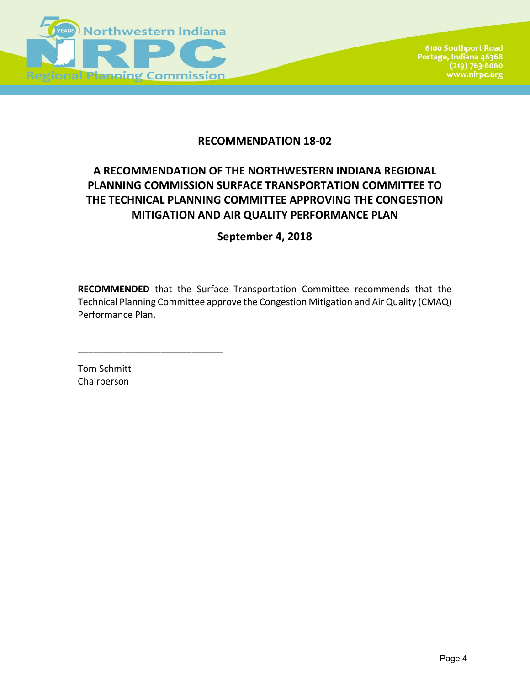

## **RECOMMENDATION 18-02**

# **A RECOMMENDATION OF THE NORTHWESTERN INDIANA REGIONAL PLANNING COMMISSION SURFACE TRANSPORTATION COMMITTEE TO THE TECHNICAL PLANNING COMMITTEE APPROVING THE CONGESTION MITIGATION AND AIR QUALITY PERFORMANCE PLAN**

**September 4, 2018**

**RECOMMENDED** that the Surface Transportation Committee recommends that the Technical Planning Committee approve the Congestion Mitigation and Air Quality (CMAQ) Performance Plan.

Tom Schmitt Chairperson

\_\_\_\_\_\_\_\_\_\_\_\_\_\_\_\_\_\_\_\_\_\_\_\_\_\_\_\_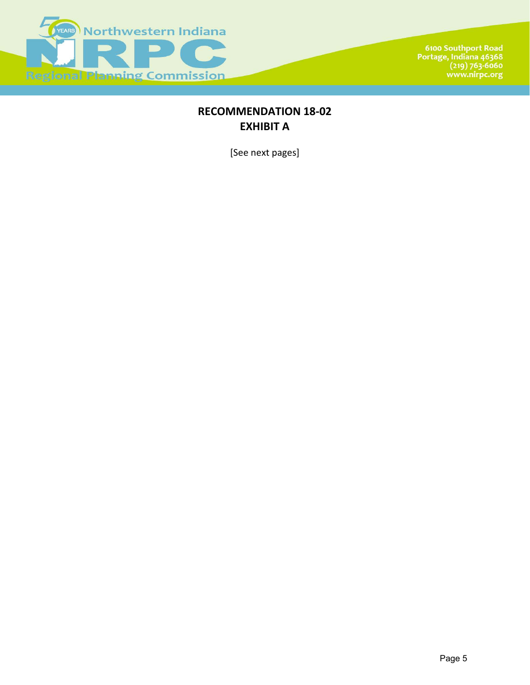

6100 Southport Road<br>Portage, Indiana 46368<br>(219) 763-6060<br>www.nirpc.org

## **RECOMMENDATION 18-02 EXHIBIT A**

[See next pages]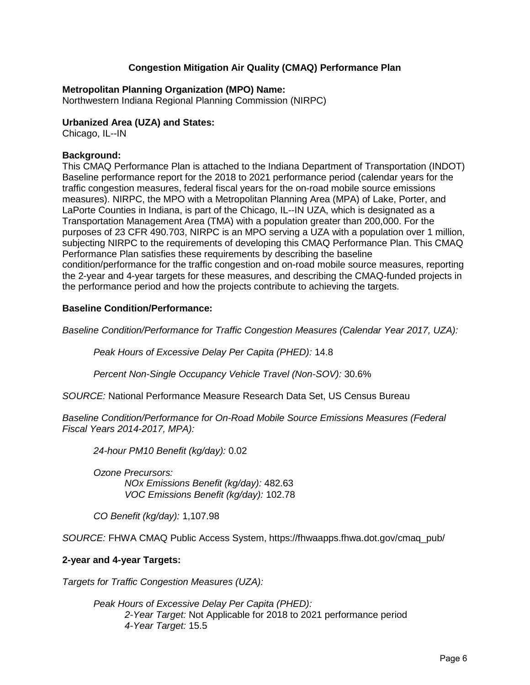## **Congestion Mitigation Air Quality (CMAQ) Performance Plan**

#### **Metropolitan Planning Organization (MPO) Name:**

Northwestern Indiana Regional Planning Commission (NIRPC)

### **Urbanized Area (UZA) and States:**

Chicago, IL--IN

### **Background:**

This CMAQ Performance Plan is attached to the Indiana Department of Transportation (INDOT) Baseline performance report for the 2018 to 2021 performance period (calendar years for the traffic congestion measures, federal fiscal years for the on-road mobile source emissions measures). NIRPC, the MPO with a Metropolitan Planning Area (MPA) of Lake, Porter, and LaPorte Counties in Indiana, is part of the Chicago, IL--IN UZA, which is designated as a Transportation Management Area (TMA) with a population greater than 200,000. For the purposes of 23 CFR 490.703, NIRPC is an MPO serving a UZA with a population over 1 million, subjecting NIRPC to the requirements of developing this CMAQ Performance Plan. This CMAQ Performance Plan satisfies these requirements by describing the baseline condition/performance for the traffic congestion and on-road mobile source measures, reporting the 2-year and 4-year targets for these measures, and describing the CMAQ-funded projects in the performance period and how the projects contribute to achieving the targets.

### **Baseline Condition/Performance:**

*Baseline Condition/Performance for Traffic Congestion Measures (Calendar Year 2017, UZA):*

*Peak Hours of Excessive Delay Per Capita (PHED):* 14.8

*Percent Non-Single Occupancy Vehicle Travel (Non-SOV):* 30.6%

*SOURCE:* National Performance Measure Research Data Set, US Census Bureau

*Baseline Condition/Performance for On-Road Mobile Source Emissions Measures (Federal Fiscal Years 2014-2017, MPA):*

*24-hour PM10 Benefit (kg/day):* 0.02

*Ozone Precursors: NOx Emissions Benefit (kg/day):* 482.63 *VOC Emissions Benefit (kg/day):* 102.78

*CO Benefit (kg/day):* 1,107.98

*SOURCE:* FHWA CMAQ Public Access System, https://fhwaapps.fhwa.dot.gov/cmaq\_pub/

## **2-year and 4-year Targets:**

*Targets for Traffic Congestion Measures (UZA):*

*Peak Hours of Excessive Delay Per Capita (PHED): 2-Year Target:* Not Applicable for 2018 to 2021 performance period *4-Year Target:* 15.5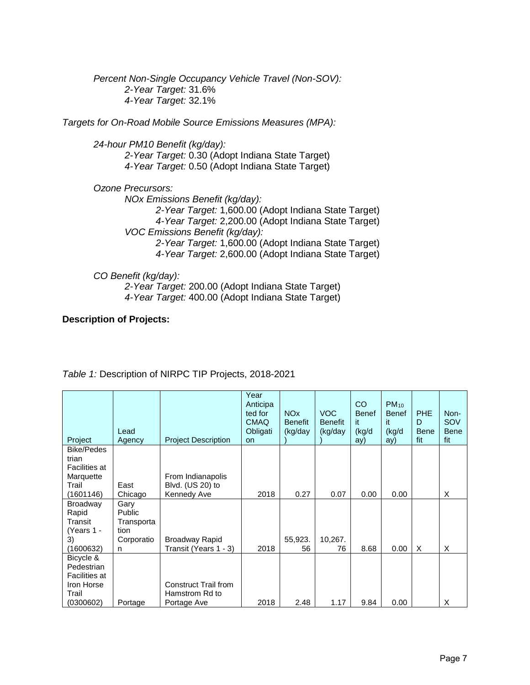*Percent Non-Single Occupancy Vehicle Travel (Non-SOV): 2-Year Target:* 31.6% *4-Year Target:* 32.1%

*Targets for On-Road Mobile Source Emissions Measures (MPA):*

*24-hour PM10 Benefit (kg/day): 2-Year Target:* 0.30 (Adopt Indiana State Target) *4-Year Target:* 0.50 (Adopt Indiana State Target)

*Ozone Precursors: NOx Emissions Benefit (kg/day): 2-Year Target:* 1,600.00 (Adopt Indiana State Target) *4-Year Target:* 2,200.00 (Adopt Indiana State Target) *VOC Emissions Benefit (kg/day): 2-Year Target:* 1,600.00 (Adopt Indiana State Target) *4-Year Target:* 2,600.00 (Adopt Indiana State Target)

*CO Benefit (kg/day):*

*2-Year Target:* 200.00 (Adopt Indiana State Target) *4-Year Target:* 400.00 (Adopt Indiana State Target)

### **Description of Projects:**

| Project                                                       | Lead<br>Agency                       | <b>Project Description</b>                           | Year<br>Anticipa<br>ted for<br><b>CMAQ</b><br>Obligati<br><b>on</b> | <b>NO<sub>x</sub></b><br><b>Benefit</b><br>(kg/day | <b>VOC</b><br><b>Benefit</b><br>(kg/day | CO<br><b>Benef</b><br>it.<br>(kg/d<br>ay) | $PM_{10}$<br><b>Benef</b><br>it.<br>(kg/d<br>ay) | <b>PHE</b><br>D<br><b>Bene</b><br>fit | Non-<br>SOV<br><b>Bene</b><br>fit |
|---------------------------------------------------------------|--------------------------------------|------------------------------------------------------|---------------------------------------------------------------------|----------------------------------------------------|-----------------------------------------|-------------------------------------------|--------------------------------------------------|---------------------------------------|-----------------------------------|
| <b>Bike/Pedes</b><br>trian                                    |                                      |                                                      |                                                                     |                                                    |                                         |                                           |                                                  |                                       |                                   |
| Facilities at<br>Marquette<br>Trail<br>(1601146)              | East<br>Chicago                      | From Indianapolis<br>Blvd. (US 20) to<br>Kennedy Ave | 2018                                                                | 0.27                                               | 0.07                                    | 0.00                                      | 0.00                                             |                                       | X                                 |
| <b>Broadway</b><br>Rapid<br>Transit<br>(Years 1 -             | Gary<br>Public<br>Transporta<br>tion |                                                      |                                                                     |                                                    |                                         |                                           |                                                  |                                       |                                   |
| 3)<br>(1600632)                                               | Corporatio<br>n                      | Broadway Rapid<br>Transit (Years 1 - 3)              | 2018                                                                | 55,923.<br>56                                      | 10,267.<br>76                           | 8.68                                      | 0.00                                             | X                                     | X                                 |
| Bicycle &<br>Pedestrian<br><b>Facilities at</b><br>Iron Horse |                                      | Construct Trail from                                 |                                                                     |                                                    |                                         |                                           |                                                  |                                       |                                   |
| Trail<br>(0300602)                                            | Portage                              | Hamstrom Rd to<br>Portage Ave                        | 2018                                                                | 2.48                                               | 1.17                                    | 9.84                                      | 0.00                                             |                                       | X                                 |

*Table 1:* Description of NIRPC TIP Projects, 2018-2021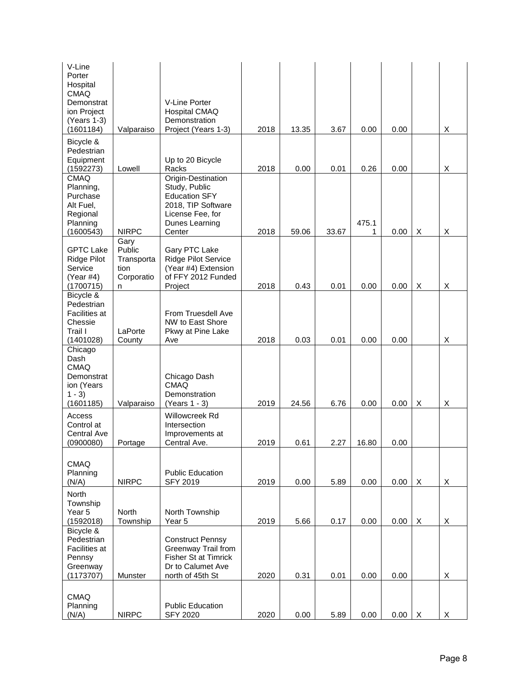| V-Line<br>Porter<br>Hospital<br><b>CMAQ</b><br>Demonstrat<br>ion Project<br>(Years 1-3)<br>(1601184) | Valparaiso                                                         | V-Line Porter<br><b>Hospital CMAQ</b><br>Demonstration<br>Project (Years 1-3)                                                    | 2018         | 13.35         | 3.67          | 0.00          | 0.00         |   | X      |
|------------------------------------------------------------------------------------------------------|--------------------------------------------------------------------|----------------------------------------------------------------------------------------------------------------------------------|--------------|---------------|---------------|---------------|--------------|---|--------|
| Bicycle &<br>Pedestrian<br>Equipment                                                                 |                                                                    | Up to 20 Bicycle                                                                                                                 |              |               |               |               |              |   |        |
| (1592273)<br><b>CMAQ</b><br>Planning,<br>Purchase<br>Alt Fuel,<br>Regional<br>Planning               | Lowell                                                             | Racks<br>Origin-Destination<br>Study, Public<br><b>Education SFY</b><br>2018, TIP Software<br>License Fee, for<br>Dunes Learning | 2018         | 0.00          | 0.01          | 0.26<br>475.1 | 0.00         |   | X      |
| (1600543)<br><b>GPTC Lake</b><br>Ridge Pilot<br>Service<br>(Year #4)                                 | <b>NIRPC</b><br>Gary<br>Public<br>Transporta<br>tion<br>Corporatio | Center<br>Gary PTC Lake<br><b>Ridge Pilot Service</b><br>(Year #4) Extension<br>of FFY 2012 Funded<br>Project                    | 2018<br>2018 | 59.06<br>0.43 | 33.67<br>0.01 | 1<br>0.00     | 0.00<br>0.00 | Χ | X<br>X |
| (1700715)<br>Bicycle &<br>Pedestrian<br>Facilities at<br>Chessie<br>Trail I<br>(1401028)             | n<br>LaPorte<br>County                                             | From Truesdell Ave<br>NW to East Shore<br>Pkwy at Pine Lake<br>Ave                                                               | 2018         | 0.03          | 0.01          | 0.00          | 0.00         | X | X      |
| Chicago<br>Dash<br><b>CMAQ</b><br>Demonstrat<br>ion (Years<br>$1 - 3$<br>(1601185)                   | Valparaiso                                                         | Chicago Dash<br><b>CMAQ</b><br>Demonstration<br>(Years 1 - 3)                                                                    | 2019         | 24.56         | 6.76          | 0.00          | 0.00         | Χ | X      |
| Access<br>Control at<br>Central Ave<br>(0900080)                                                     | Portage                                                            | Willowcreek Rd<br>Intersection<br>Improvements at<br>Central Ave.                                                                | 2019         | 0.61          | 2.27          | 16.80         | 0.00         |   |        |
| <b>CMAQ</b><br>Planning<br>(N/A)                                                                     | <b>NIRPC</b>                                                       | <b>Public Education</b><br><b>SFY 2019</b>                                                                                       | 2019         | 0.00          | 5.89          | 0.00          | 0.00         | X | X      |
| North<br>Township<br>Year 5<br>(1592018)                                                             | <b>North</b><br>Township                                           | North Township<br>Year 5                                                                                                         | 2019         | 5.66          | 0.17          | 0.00          | 0.00         | X | X      |
| Bicycle &<br>Pedestrian<br>Facilities at<br>Pennsy<br>Greenway<br>(1173707)                          | Munster                                                            | <b>Construct Pennsy</b><br>Greenway Trail from<br>Fisher St at Timrick<br>Dr to Calumet Ave<br>north of 45th St                  | 2020         | 0.31          | 0.01          | 0.00          | 0.00         |   | X      |
| <b>CMAQ</b><br>Planning<br>(N/A)                                                                     | <b>NIRPC</b>                                                       | <b>Public Education</b><br><b>SFY 2020</b>                                                                                       | 2020         | 0.00          | 5.89          | 0.00          | 0.00         | X | X      |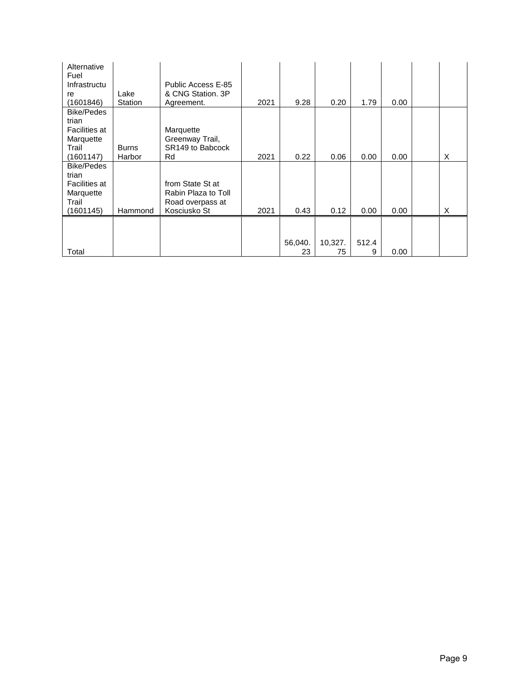| Alternative<br>Fuel<br>Infrastructu<br>re<br>(1601846)                  | Lake<br>Station | Public Access E-85<br>& CNG Station, 3P<br>Agreement.                       | 2021 | 9.28          | 0.20          | 1.79       | 0.00 |   |
|-------------------------------------------------------------------------|-----------------|-----------------------------------------------------------------------------|------|---------------|---------------|------------|------|---|
| Bike/Pedes<br>trian<br>Facilities at<br>Marquette<br>Trail<br>(1601147) | Burns<br>Harbor | Marquette<br>Greenway Trail,<br>SR149 to Babcock<br>Rd                      | 2021 | 0.22          | 0.06          | 0.00       | 0.00 | X |
| Bike/Pedes<br>trian<br>Facilities at<br>Marquette<br>Trail<br>(1601145) | Hammond         | from State St at<br>Rabin Plaza to Toll<br>Road overpass at<br>Kosciusko St | 2021 | 0.43          | 0.12          | 0.00       | 0.00 | X |
| Total                                                                   |                 |                                                                             |      | 56,040.<br>23 | 10,327.<br>75 | 512.4<br>9 | 0.00 |   |